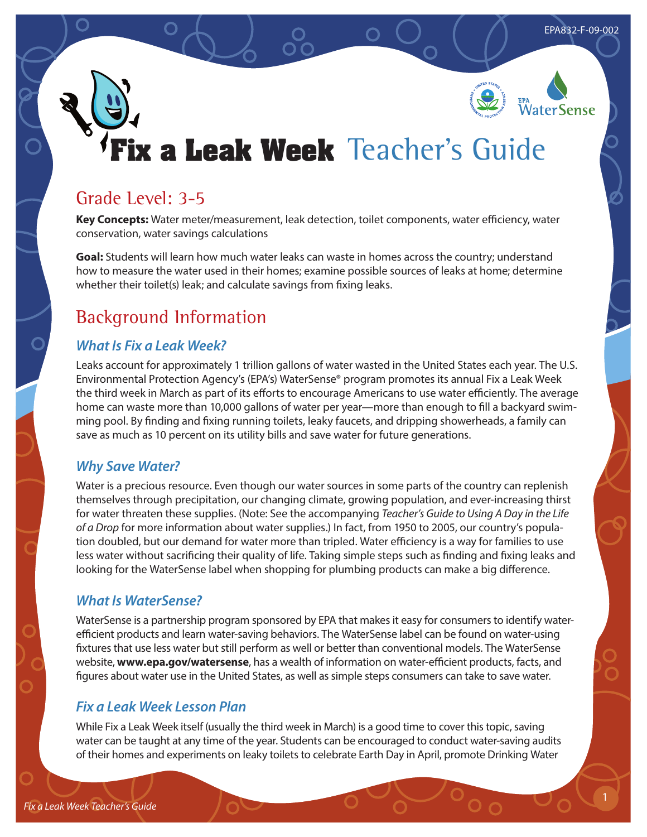# WaterSense

## **Fix a Leak Week** Teacher's Guide

## Grade Level: 3-5

**Key Concepts:** Water meter/measurement, leak detection, toilet components, water efficiency, water conservation, water savings calculations

**Goal:** Students will learn how much water leaks can waste in homes across the country; understand how to measure the water used in their homes; examine possible sources of leaks at home; determine whether their toilet(s) leak; and calculate savings from fixing leaks.

## Background Information

## *What Is Fix a Leak Week?*

Leaks account for approximately 1 trillion gallons of water wasted in the United States each year. The U.S. Environmental Protection Agency's (EPA's) WaterSense® program promotes its annual Fix a Leak Week the third week in March as part of its efforts to encourage Americans to use water efficiently. The average home can waste more than 10,000 gallons of water per year—more than enough to fill a backyard swimming pool. By finding and fixing running toilets, leaky faucets, and dripping showerheads, a family can save as much as 10 percent on its utility bills and save water for future generations.

## *Why Save Water?*

Water is a precious resource. Even though our water sources in some parts of the country can replenish themselves through precipitation, our changing climate, growing population, and ever-increasing thirst for water threaten these supplies. (Note: See the accompanying *Teacher's Guide to Using A Day in the Life of a Drop* for more information about water supplies.) In fact, from 1950 to 2005, our country's population doubled, but our demand for water more than tripled. Water efficiency is a way for families to use less water without sacrificing their quality of life. Taking simple steps such as finding and fixing leaks and looking for the WaterSense label when shopping for plumbing products can make a big difference.

## *What Is WaterSense?*

WaterSense is a partnership program sponsored by EPA that makes it easy for consumers to identify waterefficient products and learn water-saving behaviors. The WaterSense label can be found on water-using fixtures that use less water but still perform as well or better than conventional models. The WaterSense website, **www.epa.gov/watersense**, has a wealth of information on water-efficient products, facts, and figures about water use in the United States, as well as simple steps consumers can take to save water.

## *Fix a Leak Week Lesson Plan*

While Fix a Leak Week itself (usually the third week in March) is a good time to cover this topic, saving water can be taught at any time of the year. Students can be encouraged to conduct water-saving audits of their homes and experiments on leaky toilets to celebrate Earth Day in April, promote Drinking Water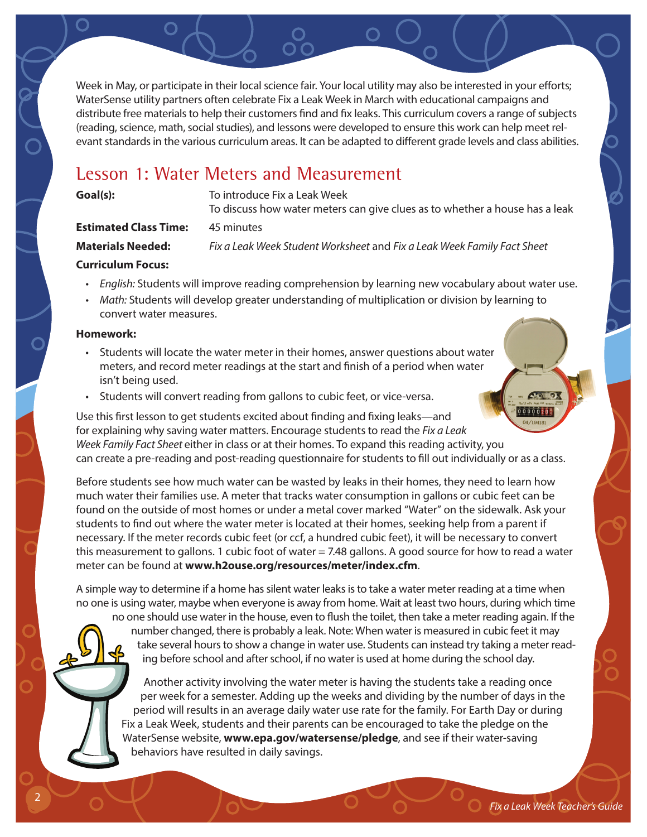Week in May, or participate in their local science fair. Your local utility may also be interested in your efforts; WaterSense utility partners often celebrate Fix a Leak Week in March with educational campaigns and distribute free materials to help their customers find and fix leaks. This curriculum covers a range of subjects (reading, science, math, social studies), and lessons were developed to ensure this work can help meet relevant standards in the various curriculum areas. It can be adapted to different grade levels and class abilities.

## Lesson 1: Water Meters and Measurement

**Goal(s):** To introduce Fix a Leak Week

To discuss how water meters can give clues as to whether a house has a leak

**Estimated Class Time:** 45 minutes

**Materials Needed:** *Fix a Leak Week Student Worksheet* and *Fix a Leak Week Family Fact Sheet*

#### **Curriculum Focus:**

- *• English:* Students will improve reading comprehension by learning new vocabulary about water use.
- *• Math:* Students will develop greater understanding of multiplication or division by learning to convert water measures.

#### **Homework:**

- Students will locate the water meter in their homes, answer questions about water meters, and record meter readings at the start and finish of a period when water isn't being used.
- Students will convert reading from gallons to cubic feet, or vice-versa.

 $000000209$ Use this first lesson to get students excited about finding and fixing leaks—and for explaining why saving water matters. Encourage students to read the *Fix a Leak Week Family Fact Sheet* either in class or at their homes. To expand this reading activity, you can create a pre-reading and post-reading questionnaire for students to fill out individually or as a class.

Before students see how much water can be wasted by leaks in their homes, they need to learn how much water their families use. A meter that tracks water consumption in gallons or cubic feet can be found on the outside of most homes or under a metal cover marked "Water" on the sidewalk. Ask your students to find out where the water meter is located at their homes, seeking help from a parent if necessary. If the meter records cubic feet (or ccf, a hundred cubic feet), it will be necessary to convert this measurement to gallons. 1 cubic foot of water = 7.48 gallons. A good source for how to read a water meter can be found at **www.h2ouse.org/resources/meter/index.cfm**.

A simple way to determine if a home has silent water leaks is to take a water meter reading at a time when no one is using water, maybe when everyone is away from home. Wait at least two hours, during which time

no one should use water in the house, even to flush the toilet, then take a meter reading again. If the number changed, there is probably a leak. Note: When water is measured in cubic feet it may take several hours to show a change in water use. Students can instead try taking a meter reading before school and after school, if no water is used at home during the school day.

Another activity involving the water meter is having the students take a reading once per week for a semester. Adding up the weeks and dividing by the number of days in the period will results in an average daily water use rate for the family. For Earth Day or during Fix a Leak Week, students and their parents can be encouraged to take the pledge on the WaterSense website, **www.epa.gov/watersense/pledge**, and see if their water-saving behaviors have resulted in daily savings.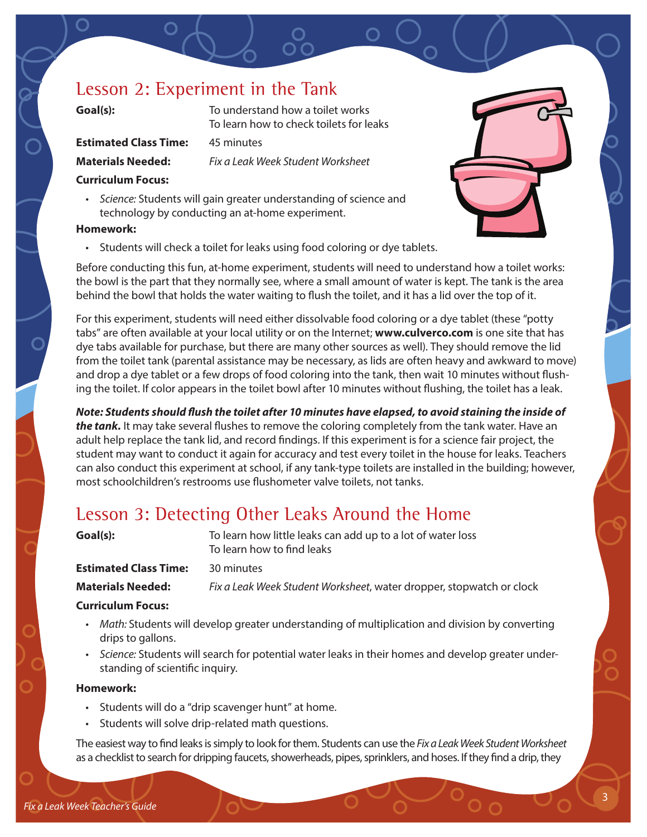## Lesson 2: Experiment in the Tank

**Goal(s):** To understand how a toilet works To learn how to check toilets for leaks

**Estimated Class Time:** 45 minutes

**Materials Needed:** *Fix a Leak Week Student Worksheet*

#### **Curriculum Focus:**

*• Science:* Students will gain greater understanding of science and technology by conducting an at-home experiment.

#### **Homework:**

• Students will check a toilet for leaks using food coloring or dye tablets.

Before conducting this fun, at-home experiment, students will need to understand how a toilet works: the bowl is the part that they normally see, where a small amount of water is kept. The tank is the area behind the bowl that holds the water waiting to flush the toilet, and it has a lid over the top of it.

For this experiment, students will need either dissolvable food coloring or a dye tablet (these "potty tabs" are often available at your local utility or on the Internet; **www.culverco.com** is one site that has dye tabs available for purchase, but there are many other sources as well). They should remove the lid from the toilet tank (parental assistance may be necessary, as lids are often heavy and awkward to move) and drop a dye tablet or a few drops of food coloring into the tank, then wait 10 minutes without flushing the toilet. If color appears in the toilet bowl after 10 minutes without flushing, the toilet has a leak.

*Note: Students should flush the toilet after 10 minutes have elapsed, to avoid staining the inside of the tank.* It may take several flushes to remove the coloring completely from the tank water. Have an adult help replace the tank lid, and record findings. If this experiment is for a science fair project, the student may want to conduct it again for accuracy and test every toilet in the house for leaks. Teachers can also conduct this experiment at school, if any tank-type toilets are installed in the building; however, most schoolchildren's restrooms use flushometer valve toilets, not tanks.

## Lesson 3: Detecting Other Leaks Around the Home

| Goal(s):                     | To learn how little leaks can add up to a lot of water loss<br>To learn how to find leaks |
|------------------------------|-------------------------------------------------------------------------------------------|
| <b>Estimated Class Time:</b> | 30 minutes                                                                                |
| <b>Materials Needed:</b>     | Fix a Leak Week Student Worksheet, water dropper, stopwatch or clock                      |
|                              |                                                                                           |

#### **Curriculum Focus:**

- *• Math:* Students will develop greater understanding of multiplication and division by converting drips to gallons.
- *• Science:* Students will search for potential water leaks in their homes and develop greater understanding of scientific inquiry.

#### **Homework:**

- Students will do a "drip scavenger hunt" at home.
- Students will solve drip-related math questions.

The easiest way to find leaks is simply to look for them. Students can use the *Fix a Leak Week Student Worksheet* as a checklist to search for dripping faucets, showerheads, pipes, sprinklers, and hoses. If they find a drip, they